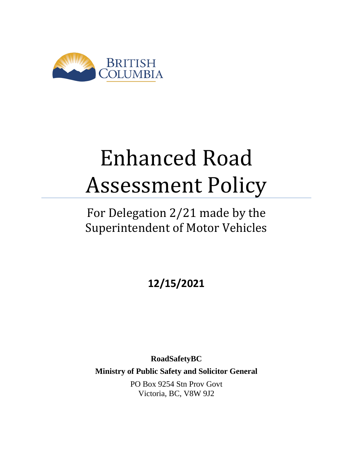

# Enhanced Road Assessment Policy

## For Delegation 2/21 made by the Superintendent of Motor Vehicles

**12/15/2021**

**RoadSafetyBC Ministry of Public Safety and Solicitor General** PO Box 9254 Stn Prov Govt Victoria, BC, V8W 9J2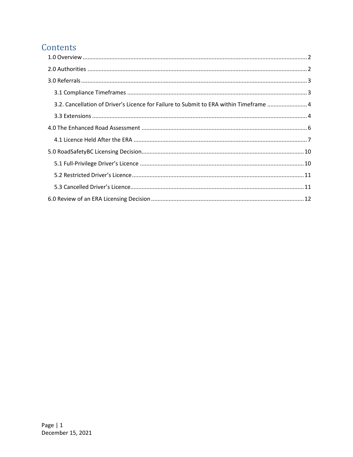### Contents

| 3.2. Cancellation of Driver's Licence for Failure to Submit to ERA within Timeframe  4 |  |
|----------------------------------------------------------------------------------------|--|
|                                                                                        |  |
|                                                                                        |  |
|                                                                                        |  |
|                                                                                        |  |
|                                                                                        |  |
|                                                                                        |  |
|                                                                                        |  |
|                                                                                        |  |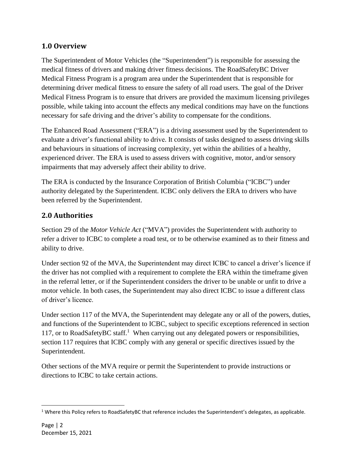#### <span id="page-2-0"></span>**1.0 Overview**

The Superintendent of Motor Vehicles (the "Superintendent") is responsible for assessing the medical fitness of drivers and making driver fitness decisions. The RoadSafetyBC Driver Medical Fitness Program is a program area under the Superintendent that is responsible for determining driver medical fitness to ensure the safety of all road users. The goal of the Driver Medical Fitness Program is to ensure that drivers are provided the maximum licensing privileges possible, while taking into account the effects any medical conditions may have on the functions necessary for safe driving and the driver's ability to compensate for the conditions.

The Enhanced Road Assessment ("ERA") is a driving assessment used by the Superintendent to evaluate a driver's functional ability to drive. It consists of tasks designed to assess driving skills and behaviours in situations of increasing complexity, yet within the abilities of a healthy, experienced driver. The ERA is used to assess drivers with cognitive, motor, and/or sensory impairments that may adversely affect their ability to drive.

The ERA is conducted by the Insurance Corporation of British Columbia ("ICBC") under authority delegated by the Superintendent. ICBC only delivers the ERA to drivers who have been referred by the Superintendent.

#### <span id="page-2-1"></span>**2.0 Authorities**

Section 29 of the *Motor Vehicle Act* ("MVA") provides the Superintendent with authority to refer a driver to ICBC to complete a road test, or to be otherwise examined as to their fitness and ability to drive.

Under section 92 of the MVA, the Superintendent may direct ICBC to cancel a driver's licence if the driver has not complied with a requirement to complete the ERA within the timeframe given in the referral letter, or if the Superintendent considers the driver to be unable or unfit to drive a motor vehicle. In both cases, the Superintendent may also direct ICBC to issue a different class of driver's licence.

Under section 117 of the MVA, the Superintendent may delegate any or all of the powers, duties, and functions of the Superintendent to ICBC, subject to specific exceptions referenced in section 117, or to RoadSafetyBC staff.<sup>1</sup> When carrying out any delegated powers or responsibilities, section 117 requires that ICBC comply with any general or specific directives issued by the Superintendent.

Other sections of the MVA require or permit the Superintendent to provide instructions or directions to ICBC to take certain actions.

<sup>&</sup>lt;sup>1</sup> Where this Policy refers to RoadSafetyBC that reference includes the Superintendent's delegates, as applicable.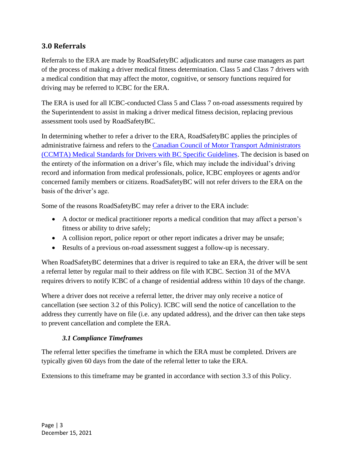#### <span id="page-3-0"></span>**3.0 Referrals**

Referrals to the ERA are made by RoadSafetyBC adjudicators and nurse case managers as part of the process of making a driver medical fitness determination. Class 5 and Class 7 drivers with a medical condition that may affect the motor, cognitive, or sensory functions required for driving may be referred to ICBC for the ERA.

The ERA is used for all ICBC-conducted Class 5 and Class 7 on-road assessments required by the Superintendent to assist in making a driver medical fitness decision, replacing previous assessment tools used by RoadSafetyBC.

In determining whether to refer a driver to the ERA, RoadSafetyBC applies the principles of administrative fairness and refers to the [Canadian Council of Motor Transport Administrators](https://www2.gov.bc.ca/gov/content/transportation/driving-and-cycling/roadsafetybc/medical-fitness/medical-prof/med-standards)  [\(CCMTA\) Medical Standards for Drivers with BC Specific Guidelines.](https://www2.gov.bc.ca/gov/content/transportation/driving-and-cycling/roadsafetybc/medical-fitness/medical-prof/med-standards) The decision is based on the entirety of the information on a driver's file, which may include the individual's driving record and information from medical professionals, police, ICBC employees or agents and/or concerned family members or citizens. RoadSafetyBC will not refer drivers to the ERA on the basis of the driver's age.

Some of the reasons RoadSafetyBC may refer a driver to the ERA include:

- A doctor or medical practitioner reports a medical condition that may affect a person's fitness or ability to drive safely;
- A collision report, police report or other report indicates a driver may be unsafe;
- Results of a previous on-road assessment suggest a follow-up is necessary.

When RoadSafetyBC determines that a driver is required to take an ERA, the driver will be sent a referral letter by regular mail to their address on file with ICBC. Section 31 of the MVA requires drivers to notify ICBC of a change of residential address within 10 days of the change.

Where a driver does not receive a referral letter, the driver may only receive a notice of cancellation (see section 3.2 of this Policy). ICBC will send the notice of cancellation to the address they currently have on file (i.e. any updated address), and the driver can then take steps to prevent cancellation and complete the ERA.

#### *3.1 Compliance Timeframes*

<span id="page-3-1"></span>The referral letter specifies the timeframe in which the ERA must be completed. Drivers are typically given 60 days from the date of the referral letter to take the ERA.

Extensions to this timeframe may be granted in accordance with section 3.3 of this Policy.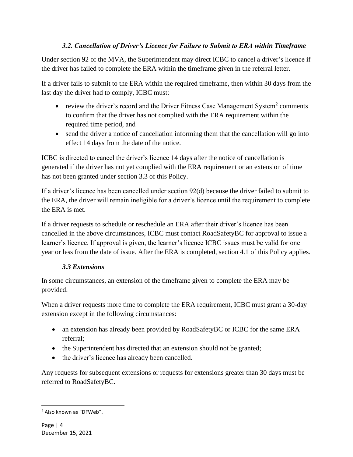#### *3.2. Cancellation of Driver's Licence for Failure to Submit to ERA within Timeframe*

<span id="page-4-0"></span>Under section 92 of the MVA, the Superintendent may direct ICBC to cancel a driver's licence if the driver has failed to complete the ERA within the timeframe given in the referral letter.

If a driver fails to submit to the ERA within the required timeframe, then within 30 days from the last day the driver had to comply, ICBC must:

- review the driver's record and the Driver Fitness Case Management System<sup>2</sup> comments to confirm that the driver has not complied with the ERA requirement within the required time period, and
- send the driver a notice of cancellation informing them that the cancellation will go into effect 14 days from the date of the notice.

ICBC is directed to cancel the driver's licence 14 days after the notice of cancellation is generated if the driver has not yet complied with the ERA requirement or an extension of time has not been granted under section 3.3 of this Policy.

If a driver's licence has been cancelled under section 92(d) because the driver failed to submit to the ERA, the driver will remain ineligible for a driver's licence until the requirement to complete the ERA is met.

If a driver requests to schedule or reschedule an ERA after their driver's licence has been cancelled in the above circumstances, ICBC must contact RoadSafetyBC for approval to issue a learner's licence. If approval is given, the learner's licence ICBC issues must be valid for one year or less from the date of issue. After the ERA is completed, section 4.1 of this Policy applies.

#### *3.3 Extensions*

<span id="page-4-1"></span>In some circumstances, an extension of the timeframe given to complete the ERA may be provided.

When a driver requests more time to complete the ERA requirement, ICBC must grant a 30-day extension except in the following circumstances:

- an extension has already been provided by RoadSafetyBC or ICBC for the same ERA referral;
- the Superintendent has directed that an extension should not be granted;
- the driver's licence has already been cancelled.

Any requests for subsequent extensions or requests for extensions greater than 30 days must be referred to RoadSafetyBC.

<sup>2</sup> Also known as "DFWeb".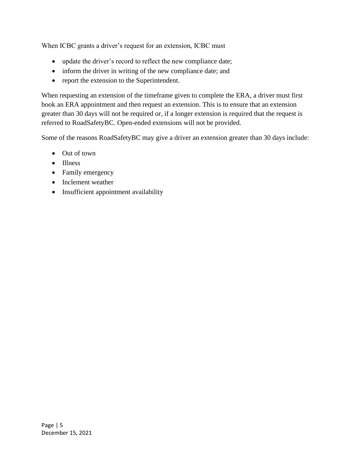When ICBC grants a driver's request for an extension, ICBC must

- update the driver's record to reflect the new compliance date;
- inform the driver in writing of the new compliance date; and
- report the extension to the Superintendent.

When requesting an extension of the timeframe given to complete the ERA, a driver must first book an ERA appointment and then request an extension. This is to ensure that an extension greater than 30 days will not be required or, if a longer extension is required that the request is referred to RoadSafetyBC. Open-ended extensions will not be provided.

Some of the reasons RoadSafetyBC may give a driver an extension greater than 30 days include:

- Out of town
- Illness
- Family emergency
- Inclement weather
- Insufficient appointment availability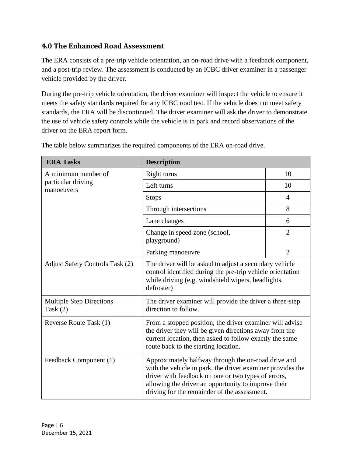#### <span id="page-6-0"></span>**4.0 The Enhanced Road Assessment**

The ERA consists of a pre-trip vehicle orientation, an on-road drive with a feedback component, and a post-trip review. The assessment is conducted by an ICBC driver examiner in a passenger vehicle provided by the driver.

During the pre-trip vehicle orientation, the driver examiner will inspect the vehicle to ensure it meets the safety standards required for any ICBC road test. If the vehicle does not meet safety standards, the ERA will be discontinued. The driver examiner will ask the driver to demonstrate the use of vehicle safety controls while the vehicle is in park and record observations of the driver on the ERA report form.

| <b>ERA Tasks</b>                              | <b>Description</b>                                                                                                                                                                                                                                                              |                |  |
|-----------------------------------------------|---------------------------------------------------------------------------------------------------------------------------------------------------------------------------------------------------------------------------------------------------------------------------------|----------------|--|
| A minimum number of                           | Right turns                                                                                                                                                                                                                                                                     | 10             |  |
| particular driving<br>manoeuvers              | Left turns                                                                                                                                                                                                                                                                      | 10             |  |
|                                               | <b>Stops</b>                                                                                                                                                                                                                                                                    | 4              |  |
|                                               | Through intersections                                                                                                                                                                                                                                                           | 8              |  |
|                                               | Lane changes                                                                                                                                                                                                                                                                    | 6              |  |
|                                               | Change in speed zone (school,<br>playground)                                                                                                                                                                                                                                    | $\overline{2}$ |  |
|                                               | Parking manoeuvre                                                                                                                                                                                                                                                               | $\overline{2}$ |  |
| <b>Adjust Safety Controls Task (2)</b>        | The driver will be asked to adjust a secondary vehicle<br>control identified during the pre-trip vehicle orientation<br>while driving (e.g. windshield wipers, headlights,<br>defroster)                                                                                        |                |  |
| <b>Multiple Step Directions</b><br>Task $(2)$ | The driver examiner will provide the driver a three-step<br>direction to follow.                                                                                                                                                                                                |                |  |
| Reverse Route Task (1)                        | From a stopped position, the driver examiner will advise<br>the driver they will be given directions away from the<br>current location, then asked to follow exactly the same<br>route back to the starting location.                                                           |                |  |
| Feedback Component (1)                        | Approximately halfway through the on-road drive and<br>with the vehicle in park, the driver examiner provides the<br>driver with feedback on one or two types of errors,<br>allowing the driver an opportunity to improve their<br>driving for the remainder of the assessment. |                |  |

The table below summarizes the required components of the ERA on-road drive.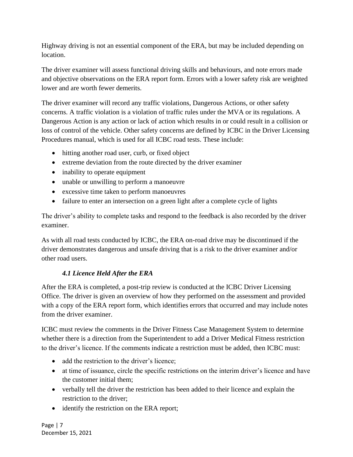Highway driving is not an essential component of the ERA, but may be included depending on location.

The driver examiner will assess functional driving skills and behaviours, and note errors made and objective observations on the ERA report form. Errors with a lower safety risk are weighted lower and are worth fewer demerits.

The driver examiner will record any traffic violations, Dangerous Actions, or other safety concerns. A traffic violation is a violation of traffic rules under the MVA or its regulations. A Dangerous Action is any action or lack of action which results in or could result in a collision or loss of control of the vehicle. Other safety concerns are defined by ICBC in the Driver Licensing Procedures manual, which is used for all ICBC road tests. These include:

- hitting another road user, curb, or fixed object
- extreme deviation from the route directed by the driver examiner
- inability to operate equipment
- unable or unwilling to perform a manoeuvre
- excessive time taken to perform manoeuvres
- failure to enter an intersection on a green light after a complete cycle of lights

The driver's ability to complete tasks and respond to the feedback is also recorded by the driver examiner.

As with all road tests conducted by ICBC, the ERA on-road drive may be discontinued if the driver demonstrates dangerous and unsafe driving that is a risk to the driver examiner and/or other road users.

#### *4.1 Licence Held After the ERA*

<span id="page-7-0"></span>After the ERA is completed, a post-trip review is conducted at the ICBC Driver Licensing Office. The driver is given an overview of how they performed on the assessment and provided with a copy of the ERA report form, which identifies errors that occurred and may include notes from the driver examiner.

ICBC must review the comments in the Driver Fitness Case Management System to determine whether there is a direction from the Superintendent to add a Driver Medical Fitness restriction to the driver's licence. If the comments indicate a restriction must be added, then ICBC must:

- add the restriction to the driver's licence;
- at time of issuance, circle the specific restrictions on the interim driver's licence and have the customer initial them;
- verbally tell the driver the restriction has been added to their licence and explain the restriction to the driver;
- identify the restriction on the ERA report;

Page | 7 December 15, 2021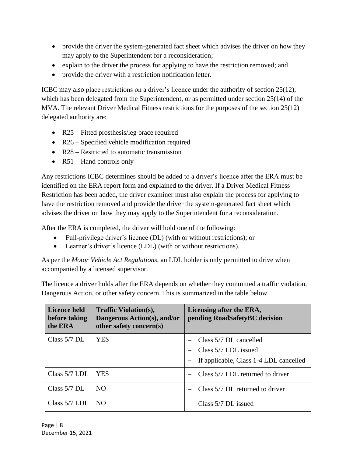- provide the driver the system-generated fact sheet which advises the driver on how they may apply to the Superintendent for a reconsideration;
- explain to the driver the process for applying to have the restriction removed; and
- provide the driver with a restriction notification letter.

ICBC may also place restrictions on a driver's licence under the authority of section 25(12), which has been delegated from the Superintendent, or as permitted under section 25(14) of the MVA. The relevant Driver Medical Fitness restrictions for the purposes of the section 25(12) delegated authority are:

- R25 Fitted prosthesis/leg brace required
- R26 Specified vehicle modification required
- R28 Restricted to automatic transmission
- $R51$  Hand controls only

Any restrictions ICBC determines should be added to a driver's licence after the ERA must be identified on the ERA report form and explained to the driver. If a Driver Medical Fitness Restriction has been added, the driver examiner must also explain the process for applying to have the restriction removed and provide the driver the system-generated fact sheet which advises the driver on how they may apply to the Superintendent for a reconsideration.

After the ERA is completed, the driver will hold one of the following:

- Full-privilege driver's licence (DL) (with or without restrictions); or
- Learner's driver's licence (LDL) (with or without restrictions).

As per the *Motor Vehicle Act Regulations*, an LDL holder is only permitted to drive when accompanied by a licensed supervisor.

The licence a driver holds after the ERA depends on whether they committed a traffic violation, Dangerous Action, or other safety concern. This is summarized in the table below.

| Licence held<br>before taking<br>the ERA | <b>Traffic Violation(s),</b><br>Dangerous Action(s), and/or<br>other safety concern(s) | Licensing after the ERA,<br>pending RoadSafetyBC decision                                |
|------------------------------------------|----------------------------------------------------------------------------------------|------------------------------------------------------------------------------------------|
| Class $5/7$ DL                           | YES                                                                                    | Class 5/7 DL cancelled<br>Class 5/7 LDL issued<br>If applicable, Class 1-4 LDL cancelled |
| Class $5/7$ LDL                          | YES                                                                                    | Class 5/7 LDL returned to driver                                                         |
| Class $5/7$ DL                           | NO.                                                                                    | Class 5/7 DL returned to driver                                                          |
| Class $5/7$ LDL                          | NO.                                                                                    | Class 5/7 DL issued                                                                      |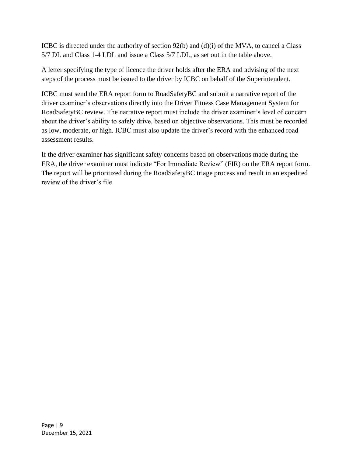ICBC is directed under the authority of section 92(b) and (d)(i) of the MVA, to cancel a Class 5/7 DL and Class 1-4 LDL and issue a Class 5/7 LDL, as set out in the table above.

A letter specifying the type of licence the driver holds after the ERA and advising of the next steps of the process must be issued to the driver by ICBC on behalf of the Superintendent.

ICBC must send the ERA report form to RoadSafetyBC and submit a narrative report of the driver examiner's observations directly into the Driver Fitness Case Management System for RoadSafetyBC review. The narrative report must include the driver examiner's level of concern about the driver's ability to safely drive, based on objective observations. This must be recorded as low, moderate, or high. ICBC must also update the driver's record with the enhanced road assessment results.

If the driver examiner has significant safety concerns based on observations made during the ERA, the driver examiner must indicate "For Immediate Review" (FIR) on the ERA report form. The report will be prioritized during the RoadSafetyBC triage process and result in an expedited review of the driver's file.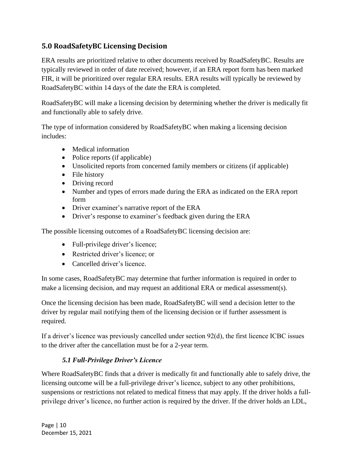#### <span id="page-10-0"></span>**5.0 RoadSafetyBC Licensing Decision**

ERA results are prioritized relative to other documents received by RoadSafetyBC. Results are typically reviewed in order of date received; however, if an ERA report form has been marked FIR, it will be prioritized over regular ERA results. ERA results will typically be reviewed by RoadSafetyBC within 14 days of the date the ERA is completed.

RoadSafetyBC will make a licensing decision by determining whether the driver is medically fit and functionally able to safely drive.

The type of information considered by RoadSafetyBC when making a licensing decision includes:

- Medical information
- Police reports (if applicable)
- Unsolicited reports from concerned family members or citizens (if applicable)
- File history
- Driving record
- Number and types of errors made during the ERA as indicated on the ERA report form
- Driver examiner's narrative report of the ERA
- Driver's response to examiner's feedback given during the ERA

The possible licensing outcomes of a RoadSafetyBC licensing decision are:

- Full-privilege driver's licence;
- Restricted driver's licence; or
- Cancelled driver's licence.

In some cases, RoadSafetyBC may determine that further information is required in order to make a licensing decision, and may request an additional ERA or medical assessment(s).

Once the licensing decision has been made, RoadSafetyBC will send a decision letter to the driver by regular mail notifying them of the licensing decision or if further assessment is required.

If a driver's licence was previously cancelled under section 92(d), the first licence ICBC issues to the driver after the cancellation must be for a 2-year term.

#### *5.1 Full-Privilege Driver's Licence*

<span id="page-10-1"></span>Where RoadSafetyBC finds that a driver is medically fit and functionally able to safely drive, the licensing outcome will be a full-privilege driver's licence, subject to any other prohibitions, suspensions or restrictions not related to medical fitness that may apply. If the driver holds a fullprivilege driver's licence, no further action is required by the driver. If the driver holds an LDL,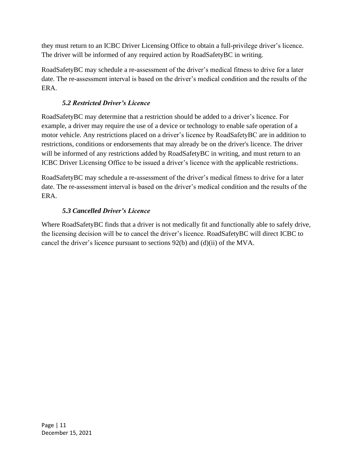they must return to an ICBC Driver Licensing Office to obtain a full-privilege driver's licence. The driver will be informed of any required action by RoadSafetyBC in writing.

RoadSafetyBC may schedule a re-assessment of the driver's medical fitness to drive for a later date. The re-assessment interval is based on the driver's medical condition and the results of the ERA.

#### *5.2 Restricted Driver's Licence*

<span id="page-11-0"></span>RoadSafetyBC may determine that a restriction should be added to a driver's licence. For example, a driver may require the use of a device or technology to enable safe operation of a motor vehicle. Any restrictions placed on a driver's licence by RoadSafetyBC are in addition to restrictions, conditions or endorsements that may already be on the driver's licence. The driver will be informed of any restrictions added by RoadSafetyBC in writing, and must return to an ICBC Driver Licensing Office to be issued a driver's licence with the applicable restrictions.

RoadSafetyBC may schedule a re-assessment of the driver's medical fitness to drive for a later date. The re-assessment interval is based on the driver's medical condition and the results of the ERA.

#### *5.3 Cancelled Driver's Licence*

<span id="page-11-1"></span>Where RoadSafetyBC finds that a driver is not medically fit and functionally able to safely drive, the licensing decision will be to cancel the driver's licence. RoadSafetyBC will direct ICBC to cancel the driver's licence pursuant to sections 92(b) and (d)(ii) of the MVA.